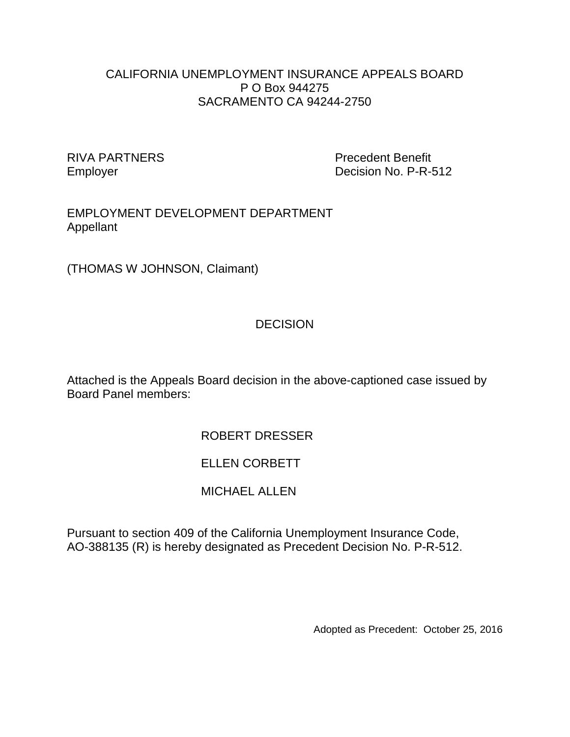#### CALIFORNIA UNEMPLOYMENT INSURANCE APPEALS BOARD P O Box 944275 SACRAMENTO CA 94244-2750

RIVA PARTNERS Precedent Benefit Employer **Decision No. P-R-512** 

#### EMPLOYMENT DEVELOPMENT DEPARTMENT Appellant

(THOMAS W JOHNSON, Claimant)

# **DECISION**

Attached is the Appeals Board decision in the above-captioned case issued by Board Panel members:

# ROBERT DRESSER

# ELLEN CORBETT

# MICHAEL ALLEN

Pursuant to section 409 of the California Unemployment Insurance Code, AO-388135 (R) is hereby designated as Precedent Decision No. P-R-512.

Adopted as Precedent: October 25, 2016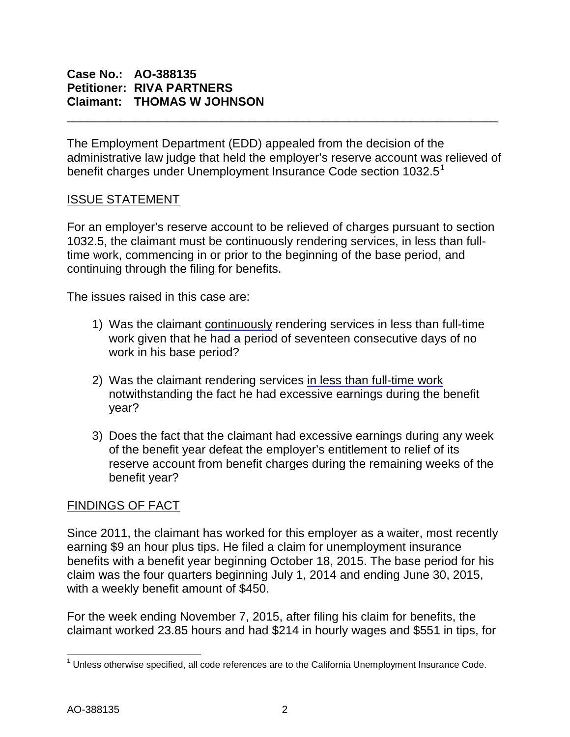## **Case No.: AO-388135 Petitioner: RIVA PARTNERS Claimant: THOMAS W JOHNSON**

The Employment Department (EDD) appealed from the decision of the administrative law judge that held the employer's reserve account was relieved of benefit charges under Unemployment Insurance Code section [1](#page-1-0)032.5<sup>1</sup>

\_\_\_\_\_\_\_\_\_\_\_\_\_\_\_\_\_\_\_\_\_\_\_\_\_\_\_\_\_\_\_\_\_\_\_\_\_\_\_\_\_\_\_\_\_\_\_\_\_\_\_\_\_\_\_\_\_\_\_\_\_\_\_\_

### ISSUE STATEMENT

For an employer's reserve account to be relieved of charges pursuant to section 1032.5, the claimant must be continuously rendering services, in less than fulltime work, commencing in or prior to the beginning of the base period, and continuing through the filing for benefits.

The issues raised in this case are:

- 1) Was the claimant continuously rendering services in less than full-time work given that he had a period of seventeen consecutive days of no work in his base period?
- 2) Was the claimant rendering services in less than full-time work notwithstanding the fact he had excessive earnings during the benefit year?
- 3) Does the fact that the claimant had excessive earnings during any week of the benefit year defeat the employer's entitlement to relief of its reserve account from benefit charges during the remaining weeks of the benefit year?

## FINDINGS OF FACT

Since 2011, the claimant has worked for this employer as a waiter, most recently earning \$9 an hour plus tips. He filed a claim for unemployment insurance benefits with a benefit year beginning October 18, 2015. The base period for his claim was the four quarters beginning July 1, 2014 and ending June 30, 2015, with a weekly benefit amount of \$450.

For the week ending November 7, 2015, after filing his claim for benefits, the claimant worked 23.85 hours and had \$214 in hourly wages and \$551 in tips, for

<span id="page-1-0"></span> $1$  Unless otherwise specified, all code references are to the California Unemployment Insurance Code.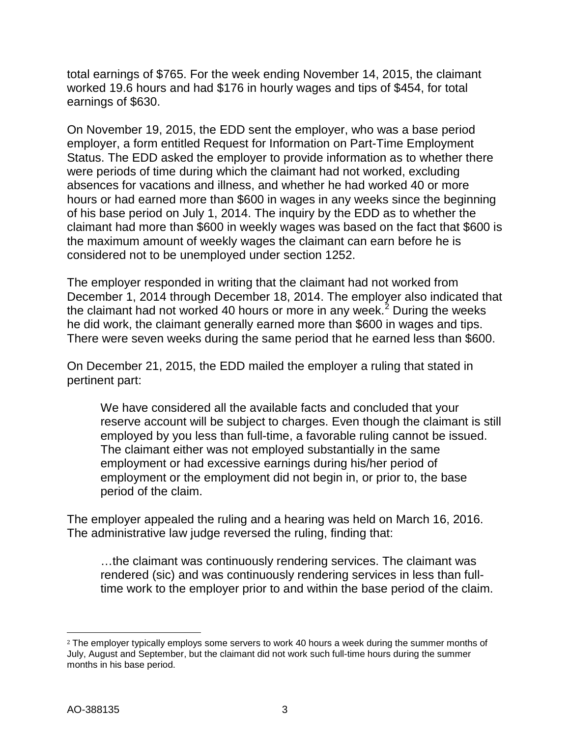total earnings of \$765. For the week ending November 14, 2015, the claimant worked 19.6 hours and had \$176 in hourly wages and tips of \$454, for total earnings of \$630.

On November 19, 2015, the EDD sent the employer, who was a base period employer, a form entitled Request for Information on Part-Time Employment Status. The EDD asked the employer to provide information as to whether there were periods of time during which the claimant had not worked, excluding absences for vacations and illness, and whether he had worked 40 or more hours or had earned more than \$600 in wages in any weeks since the beginning of his base period on July 1, 2014. The inquiry by the EDD as to whether the claimant had more than \$600 in weekly wages was based on the fact that \$600 is the maximum amount of weekly wages the claimant can earn before he is considered not to be unemployed under section 1252.

The employer responded in writing that the claimant had not worked from December 1, 2014 through December 18, 2014. The employer also indicated that the claimant had not worked 40 hours or more in any week.<sup>[2](#page-2-0)</sup> During the weeks he did work, the claimant generally earned more than \$600 in wages and tips. There were seven weeks during the same period that he earned less than \$600.

On December 21, 2015, the EDD mailed the employer a ruling that stated in pertinent part:

We have considered all the available facts and concluded that your reserve account will be subject to charges. Even though the claimant is still employed by you less than full-time, a favorable ruling cannot be issued. The claimant either was not employed substantially in the same employment or had excessive earnings during his/her period of employment or the employment did not begin in, or prior to, the base period of the claim.

The employer appealed the ruling and a hearing was held on March 16, 2016. The administrative law judge reversed the ruling, finding that:

…the claimant was continuously rendering services. The claimant was rendered (sic) and was continuously rendering services in less than fulltime work to the employer prior to and within the base period of the claim.

<span id="page-2-0"></span> $\overline{a}$ <sup>2</sup> The employer typically employs some servers to work 40 hours a week during the summer months of July, August and September, but the claimant did not work such full-time hours during the summer months in his base period.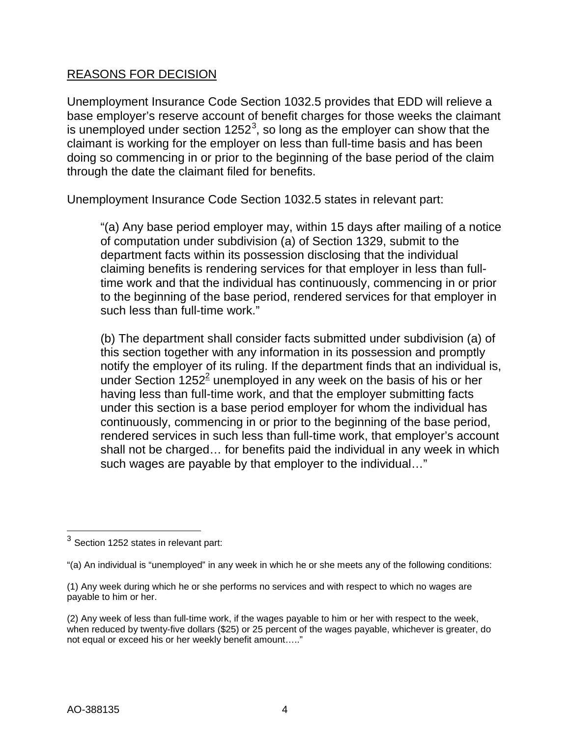## REASONS FOR DECISION

Unemployment Insurance Code Section 1032.5 provides that EDD will relieve a base employer's reserve account of benefit charges for those weeks the claimant is unemployed under section 1252<sup>[3](#page-3-0)</sup>, so long as the employer can show that the claimant is working for the employer on less than full-time basis and has been doing so commencing in or prior to the beginning of the base period of the claim through the date the claimant filed for benefits.

Unemployment Insurance Code Section 1032.5 states in relevant part:

"(a) Any base period employer may, within 15 days after mailing of a notice of computation under subdivision (a) of Section 1329, submit to the department facts within its possession disclosing that the individual claiming benefits is rendering services for that employer in less than fulltime work and that the individual has continuously, commencing in or prior to the beginning of the base period, rendered services for that employer in such less than full-time work."

(b) The department shall consider facts submitted under subdivision (a) of this section together with any information in its possession and promptly notify the employer of its ruling. If the department finds that an individual is, under Section  $1252<sup>2</sup>$  unemployed in any week on the basis of his or her having less than full-time work, and that the employer submitting facts under this section is a base period employer for whom the individual has continuously, commencing in or prior to the beginning of the base period, rendered services in such less than full-time work, that employer's account shall not be charged… for benefits paid the individual in any week in which such wages are payable by that employer to the individual…"

<span id="page-3-0"></span> $3$  Section 1252 states in relevant part:

<sup>&</sup>quot;(a) An individual is "unemployed" in any week in which he or she meets any of the following conditions:

<sup>(1)</sup> Any week during which he or she performs no services and with respect to which no wages are payable to him or her.

<sup>(2)</sup> Any week of less than full-time work, if the wages payable to him or her with respect to the week, when reduced by twenty-five dollars (\$25) or 25 percent of the wages payable, whichever is greater, do not equal or exceed his or her weekly benefit amount….."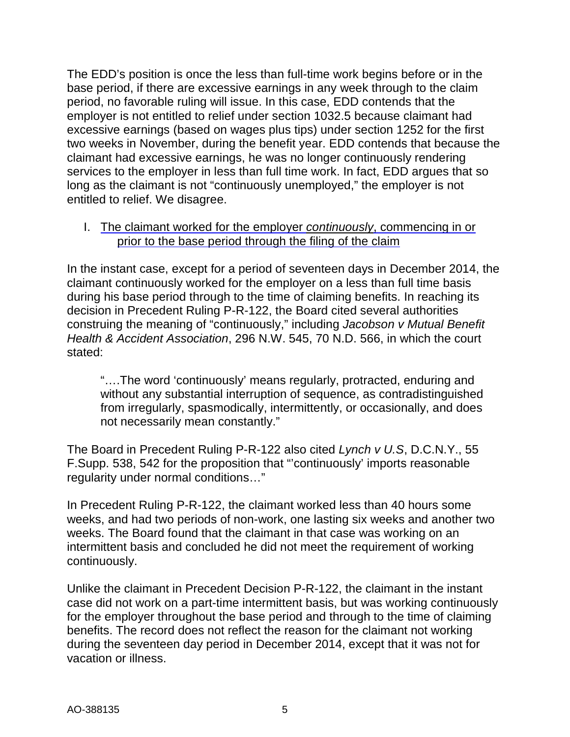The EDD's position is once the less than full-time work begins before or in the base period, if there are excessive earnings in any week through to the claim period, no favorable ruling will issue. In this case, EDD contends that the employer is not entitled to relief under section 1032.5 because claimant had excessive earnings (based on wages plus tips) under section 1252 for the first two weeks in November, during the benefit year. EDD contends that because the claimant had excessive earnings, he was no longer continuously rendering services to the employer in less than full time work. In fact, EDD argues that so long as the claimant is not "continuously unemployed," the employer is not entitled to relief. We disagree.

I. The claimant worked for the employer *continuously*, commencing in or prior to the base period through the filing of the claim

In the instant case, except for a period of seventeen days in December 2014, the claimant continuously worked for the employer on a less than full time basis during his base period through to the time of claiming benefits. In reaching its decision in Precedent Ruling P-R-122, the Board cited several authorities construing the meaning of "continuously," including *Jacobson v Mutual Benefit Health & Accident Association*, 296 N.W. 545, 70 N.D. 566, in which the court stated:

"….The word 'continuously' means regularly, protracted, enduring and without any substantial interruption of sequence, as contradistinguished from irregularly, spasmodically, intermittently, or occasionally, and does not necessarily mean constantly."

The Board in Precedent Ruling P-R-122 also cited *Lynch v U.S*, D.C.N.Y., 55 F.Supp. 538, 542 for the proposition that "'continuously' imports reasonable regularity under normal conditions…"

In Precedent Ruling P-R-122, the claimant worked less than 40 hours some weeks, and had two periods of non-work, one lasting six weeks and another two weeks. The Board found that the claimant in that case was working on an intermittent basis and concluded he did not meet the requirement of working continuously.

Unlike the claimant in Precedent Decision P-R-122, the claimant in the instant case did not work on a part-time intermittent basis, but was working continuously for the employer throughout the base period and through to the time of claiming benefits. The record does not reflect the reason for the claimant not working during the seventeen day period in December 2014, except that it was not for vacation or illness.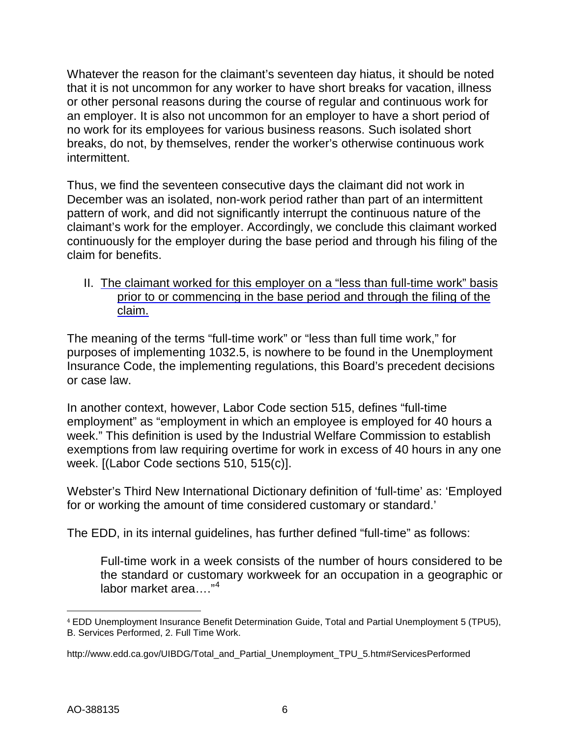Whatever the reason for the claimant's seventeen day hiatus, it should be noted that it is not uncommon for any worker to have short breaks for vacation, illness or other personal reasons during the course of regular and continuous work for an employer. It is also not uncommon for an employer to have a short period of no work for its employees for various business reasons. Such isolated short breaks, do not, by themselves, render the worker's otherwise continuous work intermittent.

Thus, we find the seventeen consecutive days the claimant did not work in December was an isolated, non-work period rather than part of an intermittent pattern of work, and did not significantly interrupt the continuous nature of the claimant's work for the employer. Accordingly, we conclude this claimant worked continuously for the employer during the base period and through his filing of the claim for benefits.

II. The claimant worked for this employer on a "less than full-time work" basis prior to or commencing in the base period and through the filing of the claim.

The meaning of the terms "full-time work" or "less than full time work," for purposes of implementing 1032.5, is nowhere to be found in the Unemployment Insurance Code, the implementing regulations, this Board's precedent decisions or case law.

In another context, however, Labor Code section 515, defines "full-time employment" as "employment in which an employee is employed for 40 hours a week." This definition is used by the Industrial Welfare Commission to establish exemptions from law requiring overtime for work in excess of 40 hours in any one week. [(Labor Code sections 510, 515(c)].

Webster's Third New International Dictionary definition of 'full-time' as: 'Employed for or working the amount of time considered customary or standard.'

The EDD, in its internal guidelines, has further defined "full-time" as follows:

Full-time work in a week consists of the number of hours considered to be the standard or customary workweek for an occupation in a geographic or labor market area...."<sup>[4](#page-5-0)</sup>

<span id="page-5-0"></span> $\overline{a}$ <sup>4</sup> EDD Unemployment Insurance Benefit Determination Guide, Total and Partial Unemployment 5 (TPU5), B. Services Performed, 2. Full Time Work.

http://www.edd.ca.gov/UIBDG/Total\_and\_Partial\_Unemployment\_TPU\_5.htm#ServicesPerformed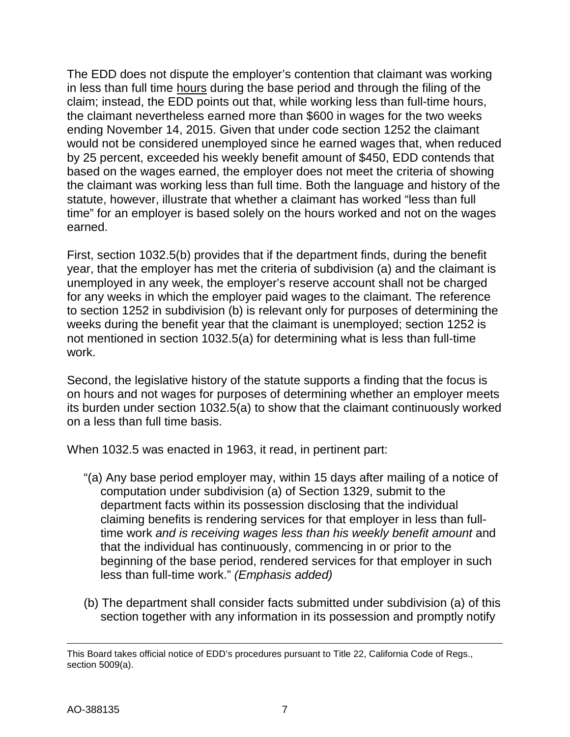The EDD does not dispute the employer's contention that claimant was working in less than full time hours during the base period and through the filing of the claim; instead, the EDD points out that, while working less than full-time hours, the claimant nevertheless earned more than \$600 in wages for the two weeks ending November 14, 2015. Given that under code section 1252 the claimant would not be considered unemployed since he earned wages that, when reduced by 25 percent, exceeded his weekly benefit amount of \$450, EDD contends that based on the wages earned, the employer does not meet the criteria of showing the claimant was working less than full time. Both the language and history of the statute, however, illustrate that whether a claimant has worked "less than full time" for an employer is based solely on the hours worked and not on the wages earned.

First, section 1032.5(b) provides that if the department finds, during the benefit year, that the employer has met the criteria of subdivision (a) and the claimant is unemployed in any week, the employer's reserve account shall not be charged for any weeks in which the employer paid wages to the claimant. The reference to section 1252 in subdivision (b) is relevant only for purposes of determining the weeks during the benefit year that the claimant is unemployed; section 1252 is not mentioned in section 1032.5(a) for determining what is less than full-time work.

Second, the legislative history of the statute supports a finding that the focus is on hours and not wages for purposes of determining whether an employer meets its burden under section 1032.5(a) to show that the claimant continuously worked on a less than full time basis.

When 1032.5 was enacted in 1963, it read, in pertinent part:

- "(a) Any base period employer may, within 15 days after mailing of a notice of computation under subdivision (a) of Section 1329, submit to the department facts within its possession disclosing that the individual claiming benefits is rendering services for that employer in less than fulltime work *and is receiving wages less than his weekly benefit amount* and that the individual has continuously, commencing in or prior to the beginning of the base period, rendered services for that employer in such less than full-time work." *(Emphasis added)*
- (b) The department shall consider facts submitted under subdivision (a) of this section together with any information in its possession and promptly notify

 $\overline{a}$ This Board takes official notice of EDD's procedures pursuant to Title 22, California Code of Regs., section 5009(a).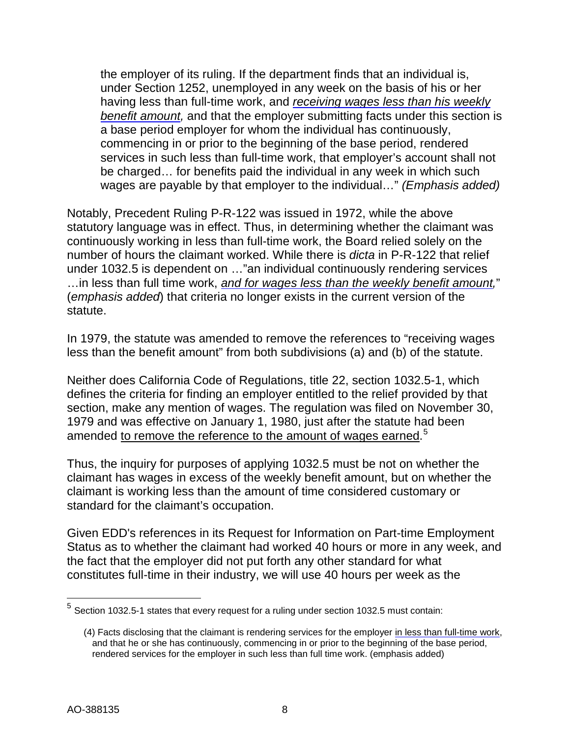the employer of its ruling. If the department finds that an individual is, under Section 1252, unemployed in any week on the basis of his or her having less than full-time work, and *receiving wages less than his weekly benefit amount,* and that the employer submitting facts under this section is a base period employer for whom the individual has continuously, commencing in or prior to the beginning of the base period, rendered services in such less than full-time work, that employer's account shall not be charged… for benefits paid the individual in any week in which such wages are payable by that employer to the individual…" *(Emphasis added)*

Notably, Precedent Ruling P-R-122 was issued in 1972, while the above statutory language was in effect. Thus, in determining whether the claimant was continuously working in less than full-time work, the Board relied solely on the number of hours the claimant worked. While there is *dicta* in P-R-122 that relief under 1032.5 is dependent on …"an individual continuously rendering services …in less than full time work, *and for wages less than the weekly benefit amount,*" (*emphasis added*) that criteria no longer exists in the current version of the statute.

In 1979, the statute was amended to remove the references to "receiving wages less than the benefit amount" from both subdivisions (a) and (b) of the statute.

Neither does California Code of Regulations, title 22, section 1032.5-1, which defines the criteria for finding an employer entitled to the relief provided by that section, make any mention of wages. The regulation was filed on November 30, 1979 and was effective on January 1, 1980, just after the statute had been amended <u>to remove the reference to the amount of wages earned.<sup>[5](#page-7-0)</sup></u>

Thus, the inquiry for purposes of applying 1032.5 must be not on whether the claimant has wages in excess of the weekly benefit amount, but on whether the claimant is working less than the amount of time considered customary or standard for the claimant's occupation.

Given EDD's references in its Request for Information on Part-time Employment Status as to whether the claimant had worked 40 hours or more in any week, and the fact that the employer did not put forth any other standard for what constitutes full-time in their industry, we will use 40 hours per week as the

<span id="page-7-0"></span> $<sup>5</sup>$  Section 1032.5-1 states that every request for a ruling under section 1032.5 must contain:</sup>

<sup>(4)</sup> Facts disclosing that the claimant is rendering services for the employer in less than full-time work, and that he or she has continuously, commencing in or prior to the beginning of the base period, rendered services for the employer in such less than full time work. (emphasis added)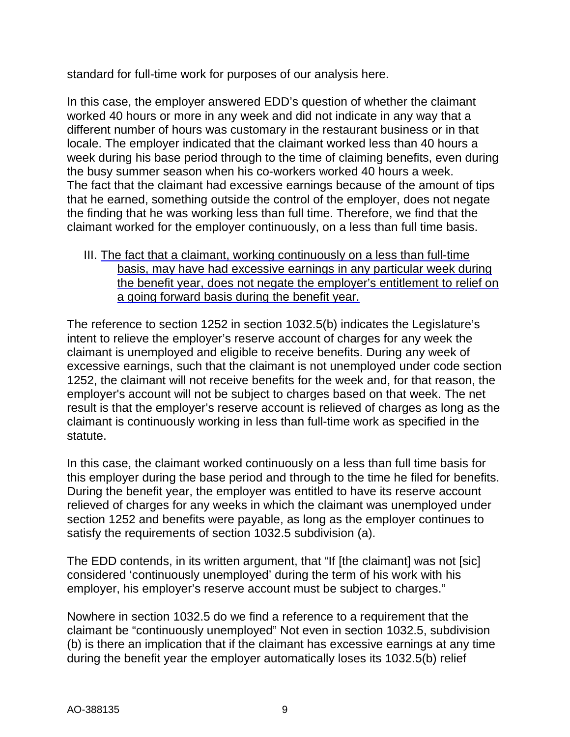standard for full-time work for purposes of our analysis here.

In this case, the employer answered EDD's question of whether the claimant worked 40 hours or more in any week and did not indicate in any way that a different number of hours was customary in the restaurant business or in that locale. The employer indicated that the claimant worked less than 40 hours a week during his base period through to the time of claiming benefits, even during the busy summer season when his co-workers worked 40 hours a week. The fact that the claimant had excessive earnings because of the amount of tips that he earned, something outside the control of the employer, does not negate the finding that he was working less than full time. Therefore, we find that the claimant worked for the employer continuously, on a less than full time basis.

III. The fact that a claimant, working continuously on a less than full-time basis, may have had excessive earnings in any particular week during the benefit year, does not negate the employer's entitlement to relief on a going forward basis during the benefit year.

The reference to section 1252 in section 1032.5(b) indicates the Legislature's intent to relieve the employer's reserve account of charges for any week the claimant is unemployed and eligible to receive benefits. During any week of excessive earnings, such that the claimant is not unemployed under code section 1252, the claimant will not receive benefits for the week and, for that reason, the employer's account will not be subject to charges based on that week. The net result is that the employer's reserve account is relieved of charges as long as the claimant is continuously working in less than full-time work as specified in the statute.

In this case, the claimant worked continuously on a less than full time basis for this employer during the base period and through to the time he filed for benefits. During the benefit year, the employer was entitled to have its reserve account relieved of charges for any weeks in which the claimant was unemployed under section 1252 and benefits were payable, as long as the employer continues to satisfy the requirements of section 1032.5 subdivision (a).

The EDD contends, in its written argument, that "If [the claimant] was not [sic] considered 'continuously unemployed' during the term of his work with his employer, his employer's reserve account must be subject to charges."

Nowhere in section 1032.5 do we find a reference to a requirement that the claimant be "continuously unemployed" Not even in section 1032.5, subdivision (b) is there an implication that if the claimant has excessive earnings at any time during the benefit year the employer automatically loses its 1032.5(b) relief